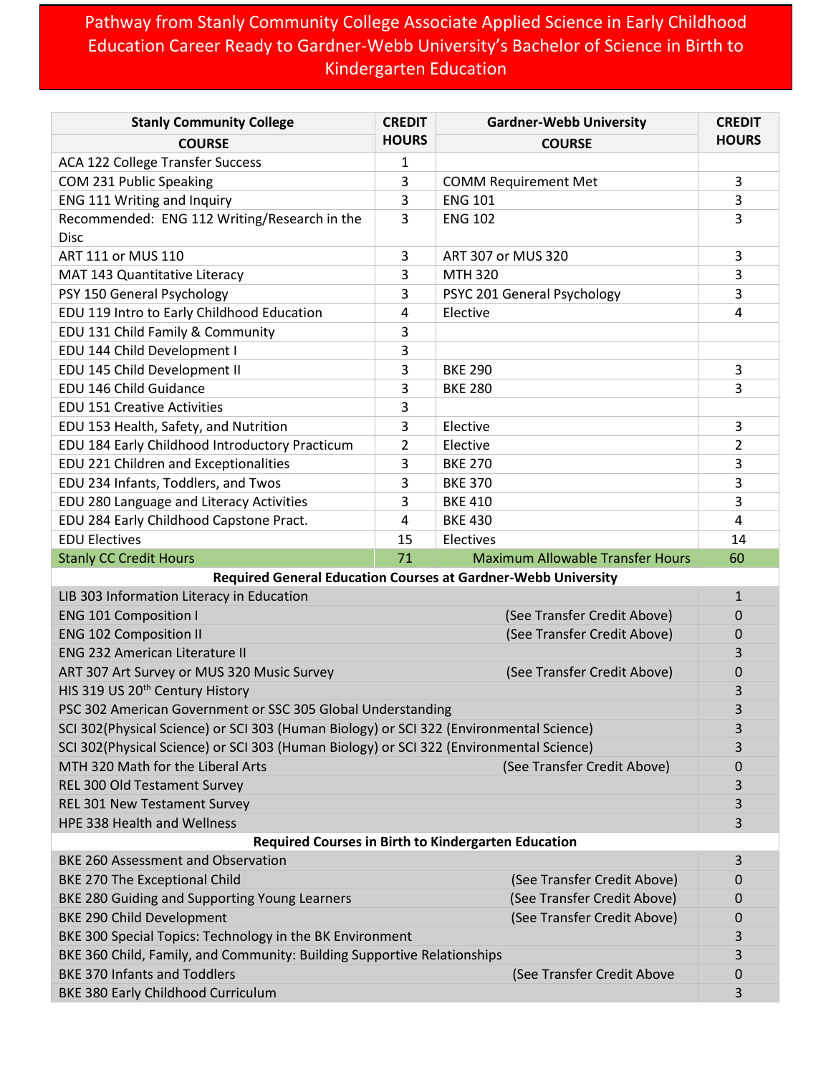## Pathway from Stanly Community College Associate Applied Science in Early Childhood Education Career Ready to Gardner-Webb University's Bachelor of Science in Birth to Kindergarten Education

| <b>Stanly Community College</b>                                                         | <b>CREDIT</b>  | <b>Gardner-Webb University</b>          | <b>CREDIT</b>    |
|-----------------------------------------------------------------------------------------|----------------|-----------------------------------------|------------------|
| <b>COURSE</b>                                                                           | <b>HOURS</b>   | <b>COURSE</b>                           | <b>HOURS</b>     |
| <b>ACA 122 College Transfer Success</b>                                                 | 1              |                                         |                  |
| COM 231 Public Speaking                                                                 | 3              | <b>COMM Requirement Met</b>             | 3                |
| ENG 111 Writing and Inquiry                                                             | 3              | <b>ENG 101</b>                          | 3                |
| Recommended: ENG 112 Writing/Research in the                                            | 3              | <b>ENG 102</b>                          | 3                |
| <b>Disc</b>                                                                             |                |                                         |                  |
| ART 111 or MUS 110                                                                      | 3              | ART 307 or MUS 320                      | 3                |
| MAT 143 Quantitative Literacy                                                           | 3              | <b>MTH 320</b>                          | 3                |
| PSY 150 General Psychology                                                              | 3              | PSYC 201 General Psychology             | 3                |
| EDU 119 Intro to Early Childhood Education                                              | 4              | Elective                                | 4                |
| EDU 131 Child Family & Community                                                        | 3              |                                         |                  |
| EDU 144 Child Development I                                                             | 3              |                                         |                  |
| EDU 145 Child Development II                                                            | 3              | <b>BKE 290</b>                          | 3                |
| EDU 146 Child Guidance                                                                  | 3              | <b>BKE 280</b>                          | 3                |
| <b>EDU 151 Creative Activities</b>                                                      | 3              |                                         |                  |
| EDU 153 Health, Safety, and Nutrition                                                   | 3              | Elective                                | 3                |
| EDU 184 Early Childhood Introductory Practicum                                          | $\overline{2}$ | Elective                                | $\overline{2}$   |
| EDU 221 Children and Exceptionalities                                                   | 3              | <b>BKE 270</b>                          | 3                |
| EDU 234 Infants, Toddlers, and Twos                                                     | 3              | <b>BKE 370</b>                          | 3                |
| EDU 280 Language and Literacy Activities                                                | 3              | <b>BKE 410</b>                          | 3                |
| EDU 284 Early Childhood Capstone Pract.                                                 | 4              | <b>BKE 430</b>                          | 4                |
| <b>EDU Electives</b>                                                                    | 15             | Electives                               | 14               |
| <b>Stanly CC Credit Hours</b>                                                           | 71             | <b>Maximum Allowable Transfer Hours</b> | 60               |
| <b>Required General Education Courses at Gardner-Webb University</b>                    |                |                                         |                  |
| LIB 303 Information Literacy in Education                                               |                |                                         | $\mathbf{1}$     |
| <b>ENG 101 Composition I</b>                                                            |                | (See Transfer Credit Above)             | 0                |
| <b>ENG 102 Composition II</b>                                                           |                | (See Transfer Credit Above)             | 0                |
| <b>ENG 232 American Literature II</b>                                                   |                |                                         | 3                |
| ART 307 Art Survey or MUS 320 Music Survey                                              |                | (See Transfer Credit Above)             | 0                |
| HIS 319 US 20 <sup>th</sup> Century History                                             |                |                                         | 3                |
| PSC 302 American Government or SSC 305 Global Understanding                             |                |                                         | 3                |
| SCI 302(Physical Science) or SCI 303 (Human Biology) or SCI 322 (Environmental Science) |                |                                         | 3                |
| SCI 302(Physical Science) or SCI 303 (Human Biology) or SCI 322 (Environmental Science) |                |                                         | 3                |
| MTH 320 Math for the Liberal Arts<br>(See Transfer Credit Above)                        |                |                                         | 0                |
| REL 300 Old Testament Survey                                                            |                |                                         | 3                |
| REL 301 New Testament Survey                                                            |                |                                         | 3                |
| HPE 338 Health and Wellness                                                             |                |                                         | 3                |
| Required Courses in Birth to Kindergarten Education                                     |                |                                         |                  |
| BKE 260 Assessment and Observation                                                      |                |                                         | 3                |
| <b>BKE 270 The Exceptional Child</b>                                                    |                | (See Transfer Credit Above)             | 0                |
| BKE 280 Guiding and Supporting Young Learners                                           |                | (See Transfer Credit Above)             | 0                |
| BKE 290 Child Development                                                               |                | (See Transfer Credit Above)             | $\boldsymbol{0}$ |
| BKE 300 Special Topics: Technology in the BK Environment                                |                |                                         | 3                |
| BKE 360 Child, Family, and Community: Building Supportive Relationships                 |                |                                         | 3                |
| <b>BKE 370 Infants and Toddlers</b>                                                     |                | (See Transfer Credit Above              | $\boldsymbol{0}$ |
| BKE 380 Early Childhood Curriculum                                                      |                |                                         | 3                |